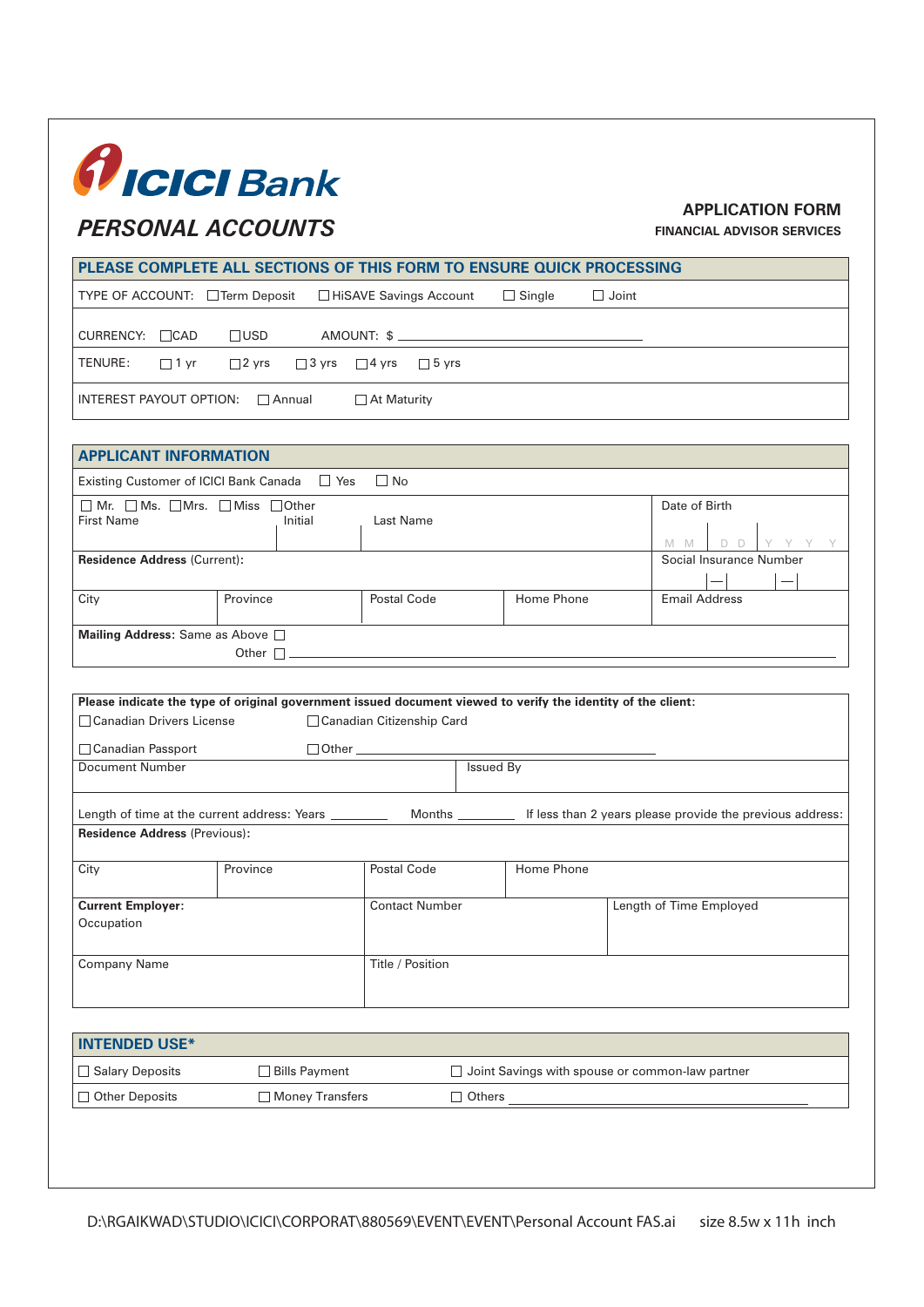## *fIcICI* Bank

## *PERSONAL ACCOUNTS*

## **APPLICATION FORM**

**FINANCIAL ADVISOR SERVICES**

| PLEASE COMPLETE ALL SECTIONS OF THIS FORM TO ENSURE QUICK PROCESSING                                         |                                                 |                                        |                  |               |              |                                     |
|--------------------------------------------------------------------------------------------------------------|-------------------------------------------------|----------------------------------------|------------------|---------------|--------------|-------------------------------------|
| TYPE OF ACCOUNT: □ Term Deposit                                                                              |                                                 | □ HiSAVE Savings Account               |                  | $\Box$ Single | $\Box$ Joint |                                     |
| $CURRENCY: \Box CAD$                                                                                         | $\Box$ USD                                      |                                        |                  |               |              |                                     |
| TENURE:<br>$\Box$ 1 yr                                                                                       | $\Box$ 2 yrs                                    | $\Box$ 3 yrs $\Box$ 4 yrs $\Box$ 5 yrs |                  |               |              |                                     |
|                                                                                                              | INTEREST PAYOUT OPTION: Annual<br>□ At Maturity |                                        |                  |               |              |                                     |
| <b>APPLICANT INFORMATION</b>                                                                                 |                                                 |                                        |                  |               |              |                                     |
| Existing Customer of ICICI Bank Canada $\Box$ Yes                                                            |                                                 | $\Box$ No                              |                  |               |              |                                     |
| □ Mr. □ Ms. □ Mrs. □ Miss □ Other<br><b>First Name</b>                                                       | Initial                                         | Last Name                              |                  |               |              | Date of Birth<br>$D$ $D$<br>$M$ $M$ |
| <b>Residence Address (Current):</b>                                                                          |                                                 |                                        |                  |               |              | Social Insurance Number             |
| City                                                                                                         | Province                                        | Postal Code                            |                  | Home Phone    |              | <b>Email Address</b>                |
| Mailing Address: Same as Above $\square$                                                                     |                                                 |                                        |                  |               |              |                                     |
| Please indicate the type of original government issued document viewed to verify the identity of the client: |                                                 |                                        |                  |               |              |                                     |
| □ Canadian Drivers License                                                                                   |                                                 | □ Canadian Citizenship Card            |                  |               |              |                                     |
| □ Canadian Passport                                                                                          |                                                 | □ Other <u>───────────</u>             |                  |               |              |                                     |
| Document Number                                                                                              |                                                 |                                        | <b>Issued By</b> |               |              |                                     |
|                                                                                                              |                                                 |                                        |                  |               |              |                                     |
| <b>Residence Address (Previous):</b>                                                                         |                                                 |                                        |                  |               |              |                                     |
| City                                                                                                         | Province                                        | Postal Code                            |                  | Home Phone    |              |                                     |
| <b>Current Employer:</b><br>Occupation                                                                       |                                                 | <b>Contact Number</b>                  |                  |               |              | Length of Time Employed             |
| <b>Company Name</b>                                                                                          |                                                 | Title / Position                       |                  |               |              |                                     |
|                                                                                                              |                                                 |                                        |                  |               |              |                                     |
| <b>INTENDED USE*</b>                                                                                         |                                                 |                                        |                  |               |              |                                     |

| $\Box$ Salary Deposits | Bills Payment   | $\Box$ Joint Savings with spouse or common-law partner |
|------------------------|-----------------|--------------------------------------------------------|
| $\Box$ Other Deposits  | Money Transfers | Others                                                 |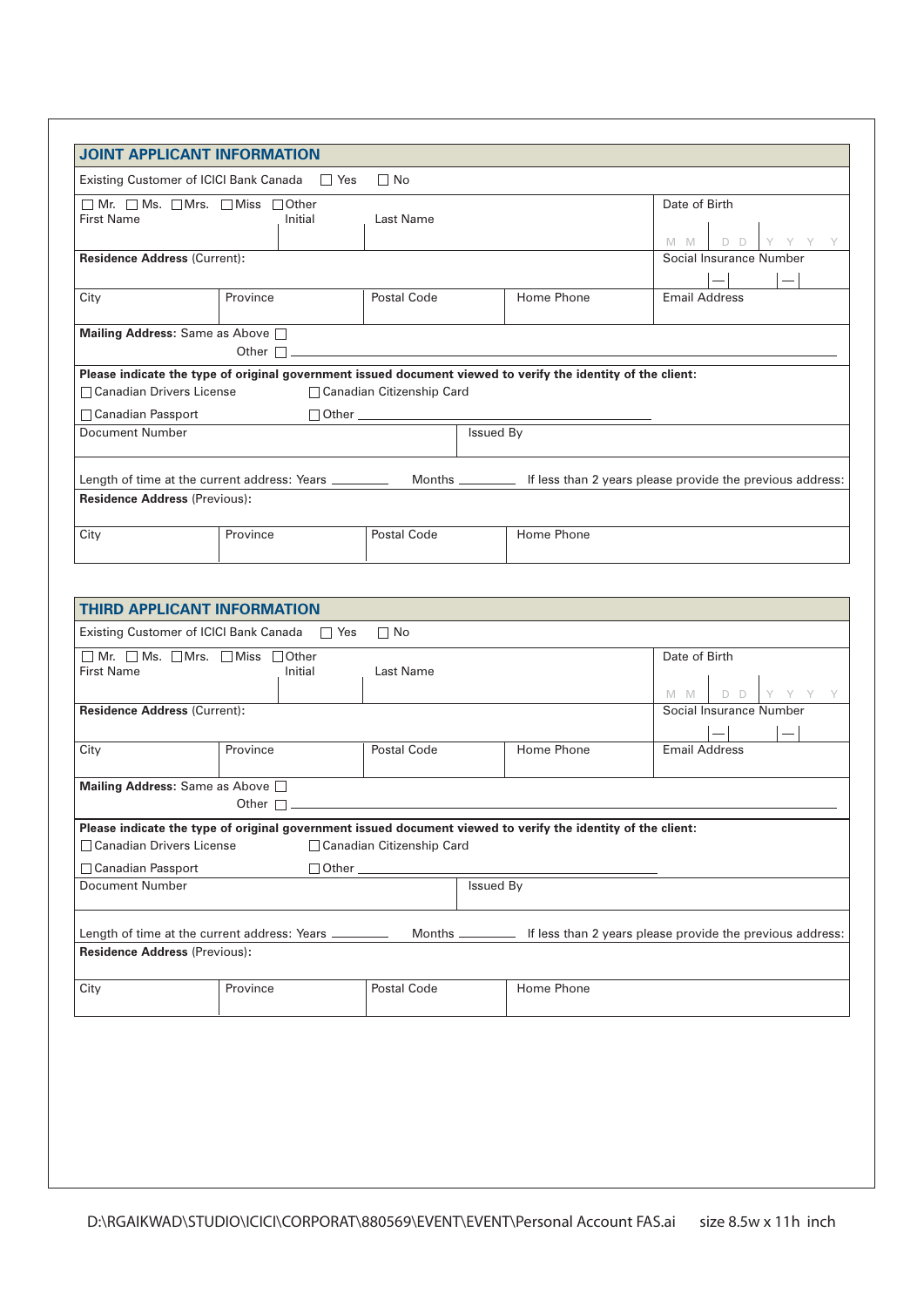| <b>JOINT APPLICANT INFORMATION</b>                                                                                                       |                             |             |            |                         |  |
|------------------------------------------------------------------------------------------------------------------------------------------|-----------------------------|-------------|------------|-------------------------|--|
| $\Box$ No<br>Existing Customer of ICICI Bank Canada<br>$\Box$ Yes                                                                        |                             |             |            |                         |  |
| $\Box$ Mr. $\Box$ Ms. $\Box$ Mrs. $\Box$ Miss $\Box$ Other<br><b>First Name</b>                                                          | Initial                     | Last Name   |            | Date of Birth<br>$M$ M  |  |
| <b>Residence Address (Current):</b>                                                                                                      |                             |             |            | Social Insurance Number |  |
|                                                                                                                                          |                             |             |            |                         |  |
| City                                                                                                                                     | Province                    | Postal Code | Home Phone | <b>Email Address</b>    |  |
| Mailing Address: Same as Above<br>Other $\Box$                                                                                           |                             |             |            |                         |  |
| Please indicate the type of original government issued document viewed to verify the identity of the client:                             |                             |             |            |                         |  |
| $\Box$ Canadian Drivers License                                                                                                          | □ Canadian Citizenship Card |             |            |                         |  |
| □ Canadian Passport                                                                                                                      |                             |             |            |                         |  |
| Document Number                                                                                                                          |                             | Issued By   |            |                         |  |
| Months _____________ If less than 2 years please provide the previous address:<br>Length of time at the current address: Years _________ |                             |             |            |                         |  |
| <b>Residence Address (Previous):</b>                                                                                                     |                             |             |            |                         |  |
| City                                                                                                                                     | Province                    | Postal Code | Home Phone |                         |  |

| <b>THIRD APPLICANT INFORMATION</b>                                                                                                                                                                                                                                                                                                                                                                                  |          |             |  |            |                             |
|---------------------------------------------------------------------------------------------------------------------------------------------------------------------------------------------------------------------------------------------------------------------------------------------------------------------------------------------------------------------------------------------------------------------|----------|-------------|--|------------|-----------------------------|
| Existing Customer of ICICI Bank Canada □ Yes<br>$\Box$ No                                                                                                                                                                                                                                                                                                                                                           |          |             |  |            |                             |
| Mr. $\Box$ Ms. $\Box$ Mrs. $\Box$ Miss $\Box$ Other<br>$\Box$<br><b>First Name</b>                                                                                                                                                                                                                                                                                                                                  | Initial  | Last Name   |  |            | Date of Birth<br>D D<br>M M |
| <b>Residence Address (Current):</b>                                                                                                                                                                                                                                                                                                                                                                                 |          |             |  |            | Social Insurance Number     |
|                                                                                                                                                                                                                                                                                                                                                                                                                     |          |             |  |            |                             |
| City                                                                                                                                                                                                                                                                                                                                                                                                                | Province | Postal Code |  | Home Phone | <b>Email Address</b>        |
| Mailing Address: Same as Above<br>Other $\Box$<br><u> 1989 - Johann John Harry Harry Harry Harry Harry Harry Harry Harry Harry Harry Harry Harry Harry Harry Harry H</u><br>Please indicate the type of original government issued document viewed to verify the identity of the client:<br>□ Canadian Drivers License<br>□ Canadian Citizenship Card<br>□ Canadian Passport<br><b>Issued By</b><br>Document Number |          |             |  |            |                             |
|                                                                                                                                                                                                                                                                                                                                                                                                                     |          |             |  |            |                             |
| Length of time at the current address: Years ______________ Months _____________ If less than 2 years please provide the previous address:<br><b>Residence Address (Previous):</b>                                                                                                                                                                                                                                  |          |             |  |            |                             |
| City                                                                                                                                                                                                                                                                                                                                                                                                                | Province | Postal Code |  | Home Phone |                             |